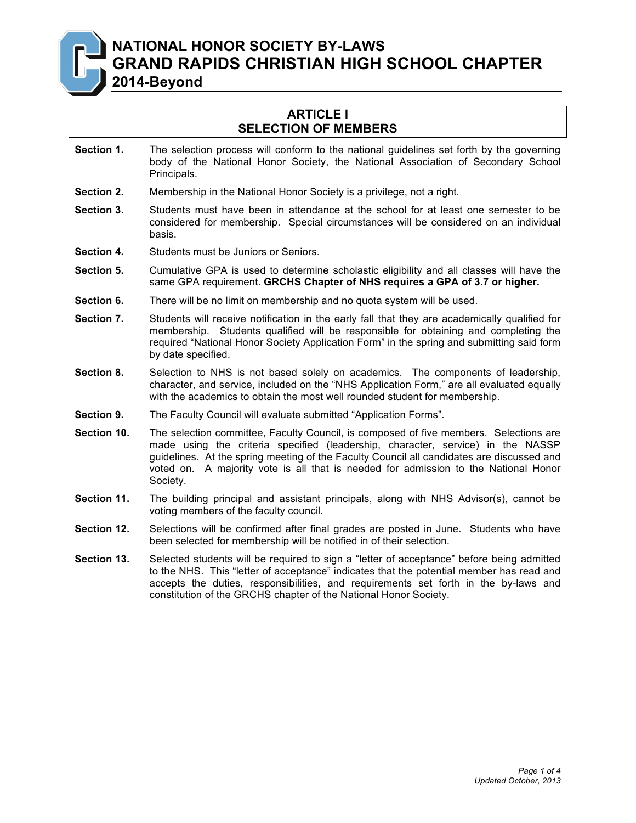**NATIONAL HONOR SOCIETY BY-LAWS GRAND RAPIDS CHRISTIAN HIGH SCHOOL CHAPTER**

**2014-Beyond**

## **ARTICLE I SELECTION OF MEMBERS**

- **Section 1.** The selection process will conform to the national guidelines set forth by the governing body of the National Honor Society, the National Association of Secondary School Principals.
- **Section 2.** Membership in the National Honor Society is a privilege, not a right.
- **Section 3.** Students must have been in attendance at the school for at least one semester to be considered for membership. Special circumstances will be considered on an individual basis.
- **Section 4.** Students must be Juniors or Seniors.
- **Section 5.** Cumulative GPA is used to determine scholastic eligibility and all classes will have the same GPA requirement. **GRCHS Chapter of NHS requires a GPA of 3.7 or higher.**
- **Section 6.** There will be no limit on membership and no quota system will be used.
- **Section 7.** Students will receive notification in the early fall that they are academically qualified for membership. Students qualified will be responsible for obtaining and completing the required "National Honor Society Application Form" in the spring and submitting said form by date specified.
- **Section 8.** Selection to NHS is not based solely on academics. The components of leadership, character, and service, included on the "NHS Application Form," are all evaluated equally with the academics to obtain the most well rounded student for membership.
- **Section 9.** The Faculty Council will evaluate submitted "Application Forms".
- **Section 10.** The selection committee, Faculty Council, is composed of five members. Selections are made using the criteria specified (leadership, character, service) in the NASSP guidelines. At the spring meeting of the Faculty Council all candidates are discussed and voted on. A majority vote is all that is needed for admission to the National Honor Society.
- **Section 11.** The building principal and assistant principals, along with NHS Advisor(s), cannot be voting members of the faculty council.
- **Section 12.** Selections will be confirmed after final grades are posted in June. Students who have been selected for membership will be notified in of their selection.
- **Section 13.** Selected students will be required to sign a "letter of acceptance" before being admitted to the NHS. This "letter of acceptance" indicates that the potential member has read and accepts the duties, responsibilities, and requirements set forth in the by-laws and constitution of the GRCHS chapter of the National Honor Society.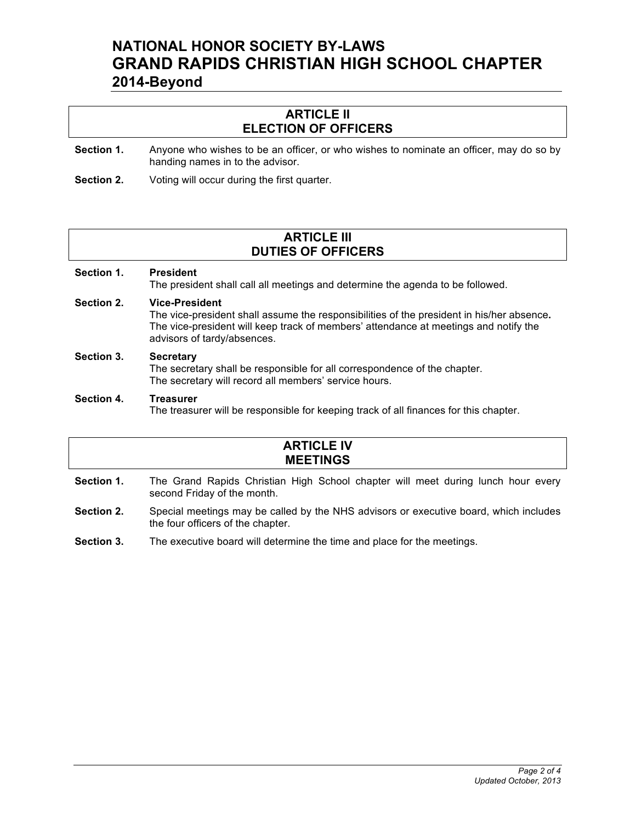# **NATIONAL HONOR SOCIETY BY-LAWS GRAND RAPIDS CHRISTIAN HIGH SCHOOL CHAPTER 2014-Beyond**

## **ARTICLE II ELECTION OF OFFICERS**

- **Section 1.** Anyone who wishes to be an officer, or who wishes to nominate an officer, may do so by handing names in to the advisor.
- **Section 2.** Voting will occur during the first quarter.

## **ARTICLE III DUTIES OF OFFICERS**

## **Section 1. President** The president shall call all meetings and determine the agenda to be followed. **Section 2. Vice-President** The vice-president shall assume the responsibilities of the president in his/her absence**.**  The vice-president will keep track of members' attendance at meetings and notify the advisors of tardy/absences.

#### **Section 3. Secretary** The secretary shall be responsible for all correspondence of the chapter. The secretary will record all members' service hours.

#### **Section 4. Treasurer**

The treasurer will be responsible for keeping track of all finances for this chapter.

# **ARTICLE IV MEETINGS**

- **Section 1.** The Grand Rapids Christian High School chapter will meet during lunch hour every second Friday of the month.
- **Section 2.** Special meetings may be called by the NHS advisors or executive board, which includes the four officers of the chapter.
- **Section 3.** The executive board will determine the time and place for the meetings.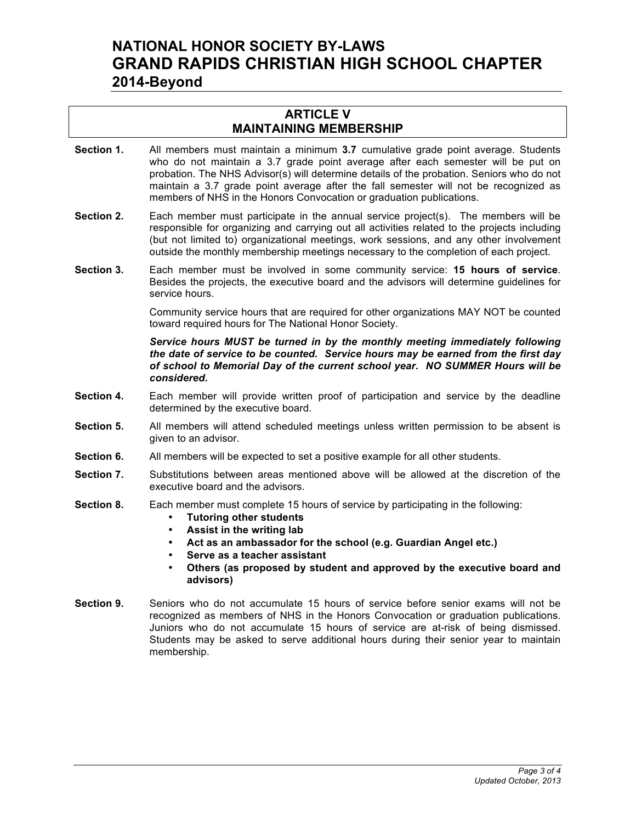# **NATIONAL HONOR SOCIETY BY-LAWS GRAND RAPIDS CHRISTIAN HIGH SCHOOL CHAPTER 2014-Beyond**

## **ARTICLE V MAINTAINING MEMBERSHIP**

- **Section 1.** All members must maintain a minimum **3.7** cumulative grade point average. Students who do not maintain a 3.7 grade point average after each semester will be put on probation. The NHS Advisor(s) will determine details of the probation. Seniors who do not maintain a 3.7 grade point average after the fall semester will not be recognized as members of NHS in the Honors Convocation or graduation publications.
- **Section 2.** Each member must participate in the annual service project(s). The members will be responsible for organizing and carrying out all activities related to the projects including (but not limited to) organizational meetings, work sessions, and any other involvement outside the monthly membership meetings necessary to the completion of each project.
- **Section 3.** Each member must be involved in some community service: **15 hours of service**. Besides the projects, the executive board and the advisors will determine guidelines for service hours.

Community service hours that are required for other organizations MAY NOT be counted toward required hours for The National Honor Society.

*Service hours MUST be turned in by the monthly meeting immediately following the date of service to be counted. Service hours may be earned from the first day of school to Memorial Day of the current school year. NO SUMMER Hours will be considered.*

- **Section 4.** Each member will provide written proof of participation and service by the deadline determined by the executive board.
- **Section 5.** All members will attend scheduled meetings unless written permission to be absent is given to an advisor.
- **Section 6.** All members will be expected to set a positive example for all other students.
- **Section 7.** Substitutions between areas mentioned above will be allowed at the discretion of the executive board and the advisors.
- **Section 8.** Each member must complete 15 hours of service by participating in the following:
	- **Tutoring other students**
	- **Assist in the writing lab**
	- **Act as an ambassador for the school (e.g. Guardian Angel etc.)**
	- **Serve as a teacher assistant**
	- **Others (as proposed by student and approved by the executive board and advisors)**
- **Section 9.** Seniors who do not accumulate 15 hours of service before senior exams will not be recognized as members of NHS in the Honors Convocation or graduation publications. Juniors who do not accumulate 15 hours of service are at-risk of being dismissed. Students may be asked to serve additional hours during their senior year to maintain membership.